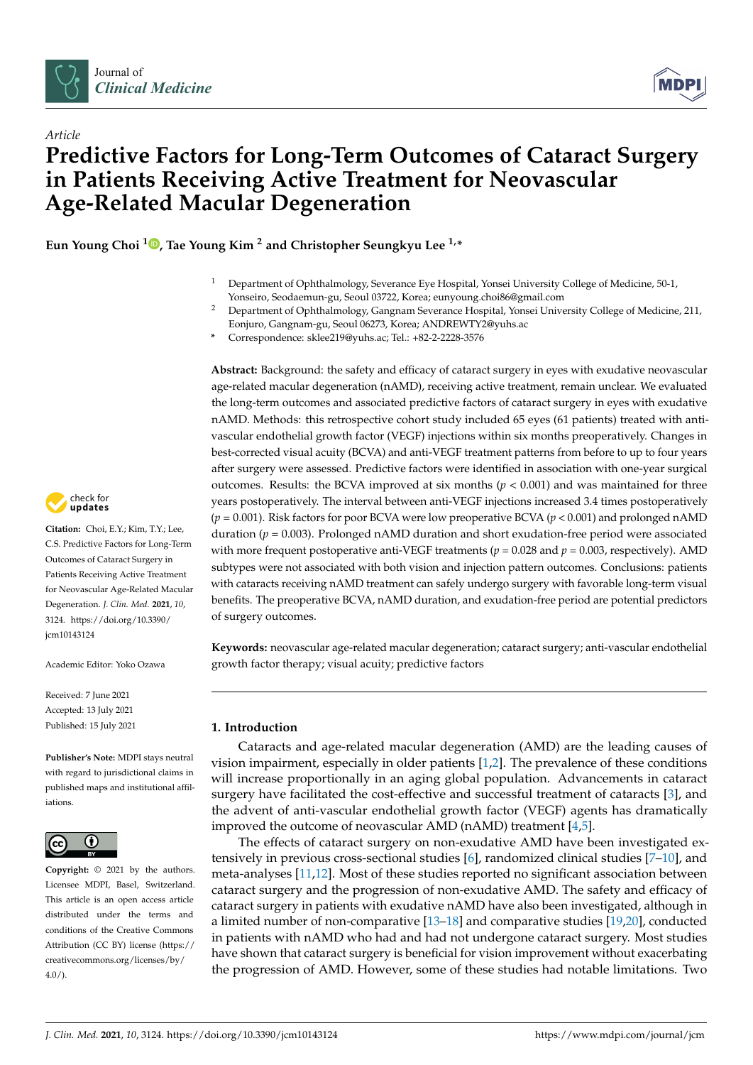

*Article*



# **Predictive Factors for Long-Term Outcomes of Cataract Surgery in Patients Receiving Active Treatment for Neovascular Age-Related Macular Degeneration**

**Eun Young Choi [1](https://orcid.org/0000-0002-1668-6452) , Tae Young Kim <sup>2</sup> and Christopher Seungkyu Lee 1,\***

- <sup>1</sup> Department of Ophthalmology, Severance Eye Hospital, Yonsei University College of Medicine, 50-1, Yonseiro, Seodaemun-gu, Seoul 03722, Korea; eunyoung.choi86@gmail.com
- <sup>2</sup> Department of Ophthalmology, Gangnam Severance Hospital, Yonsei University College of Medicine, 211, Eonjuro, Gangnam-gu, Seoul 06273, Korea; ANDREWTY2@yuhs.ac
- **\*** Correspondence: sklee219@yuhs.ac; Tel.: +82-2-2228-3576

**Abstract:** Background: the safety and efficacy of cataract surgery in eyes with exudative neovascular age-related macular degeneration (nAMD), receiving active treatment, remain unclear. We evaluated the long-term outcomes and associated predictive factors of cataract surgery in eyes with exudative nAMD. Methods: this retrospective cohort study included 65 eyes (61 patients) treated with antivascular endothelial growth factor (VEGF) injections within six months preoperatively. Changes in best-corrected visual acuity (BCVA) and anti-VEGF treatment patterns from before to up to four years after surgery were assessed. Predictive factors were identified in association with one-year surgical outcomes. Results: the BCVA improved at six months ( $p < 0.001$ ) and was maintained for three years postoperatively. The interval between anti-VEGF injections increased 3.4 times postoperatively (*p* = 0.001). Risk factors for poor BCVA were low preoperative BCVA (*p* < 0.001) and prolonged nAMD duration ( $p = 0.003$ ). Prolonged nAMD duration and short exudation-free period were associated with more frequent postoperative anti-VEGF treatments ( $p = 0.028$  and  $p = 0.003$ , respectively). AMD subtypes were not associated with both vision and injection pattern outcomes. Conclusions: patients with cataracts receiving nAMD treatment can safely undergo surgery with favorable long-term visual benefits. The preoperative BCVA, nAMD duration, and exudation-free period are potential predictors of surgery outcomes.

**Keywords:** neovascular age-related macular degeneration; cataract surgery; anti-vascular endothelial growth factor therapy; visual acuity; predictive factors

# **1. Introduction**

Cataracts and age-related macular degeneration (AMD) are the leading causes of vision impairment, especially in older patients [\[1](#page-7-0)[,2\]](#page-7-1). The prevalence of these conditions will increase proportionally in an aging global population. Advancements in cataract surgery have facilitated the cost-effective and successful treatment of cataracts [\[3\]](#page-7-2), and the advent of anti-vascular endothelial growth factor (VEGF) agents has dramatically improved the outcome of neovascular AMD (nAMD) treatment [\[4](#page-7-3)[,5\]](#page-7-4).

The effects of cataract surgery on non-exudative AMD have been investigated extensively in previous cross-sectional studies  $[6]$ , randomized clinical studies  $[7-10]$  $[7-10]$ , and meta-analyses [\[11](#page-7-8)[,12\]](#page-7-9). Most of these studies reported no significant association between cataract surgery and the progression of non-exudative AMD. The safety and efficacy of cataract surgery in patients with exudative nAMD have also been investigated, although in a limited number of non-comparative [\[13–](#page-7-10)[18\]](#page-7-11) and comparative studies [\[19](#page-7-12)[,20\]](#page-7-13), conducted in patients with nAMD who had and had not undergone cataract surgery. Most studies have shown that cataract surgery is beneficial for vision improvement without exacerbating the progression of AMD. However, some of these studies had notable limitations. Two



**Citation:** Choi, E.Y.; Kim, T.Y.; Lee, C.S. Predictive Factors for Long-Term Outcomes of Cataract Surgery in Patients Receiving Active Treatment for Neovascular Age-Related Macular Degeneration. *J. Clin. Med.* **2021**, *10*, 3124. [https://doi.org/10.3390/](https://doi.org/10.3390/jcm10143124) [jcm10143124](https://doi.org/10.3390/jcm10143124)

Academic Editor: Yoko Ozawa

Received: 7 June 2021 Accepted: 13 July 2021 Published: 15 July 2021

**Publisher's Note:** MDPI stays neutral with regard to jurisdictional claims in published maps and institutional affiliations.



**Copyright:** © 2021 by the authors. Licensee MDPI, Basel, Switzerland. This article is an open access article distributed under the terms and conditions of the Creative Commons Attribution (CC BY) license (https:/[/](https://creativecommons.org/licenses/by/4.0/) [creativecommons.org/licenses/by/](https://creativecommons.org/licenses/by/4.0/)  $4.0/$ ).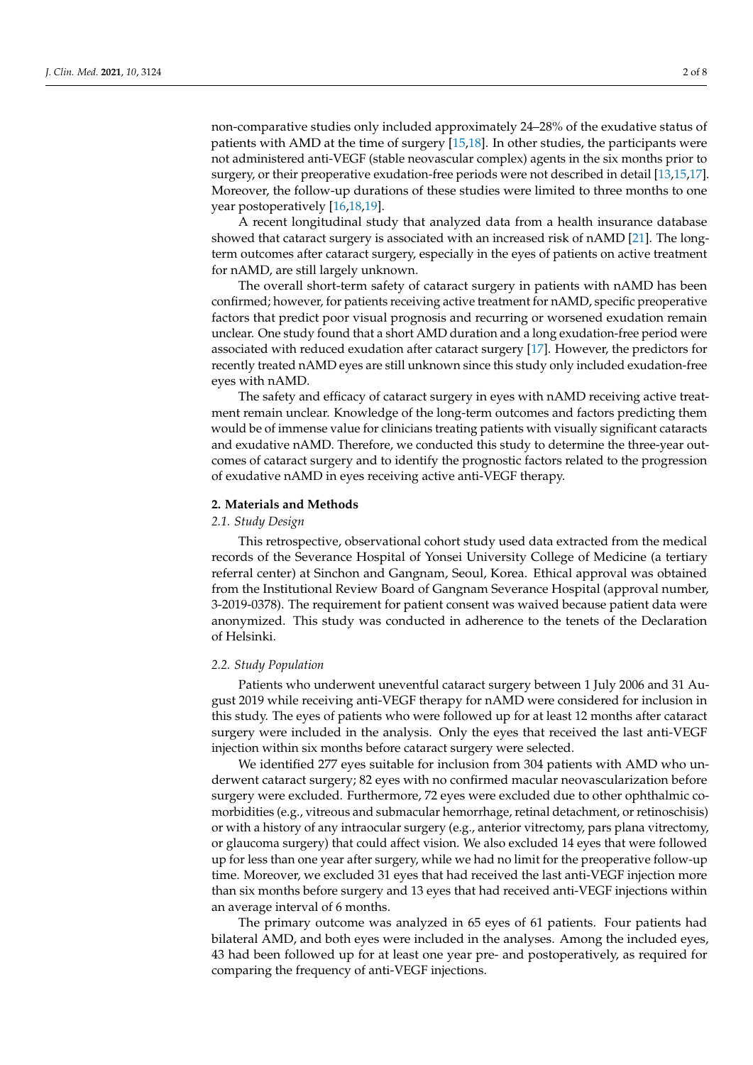non-comparative studies only included approximately 24–28% of the exudative status of patients with AMD at the time of surgery [\[15,](#page-7-14)[18\]](#page-7-11). In other studies, the participants were not administered anti-VEGF (stable neovascular complex) agents in the six months prior to surgery, or their preoperative exudation-free periods were not described in detail [\[13,](#page-7-10)[15](#page-7-14)[,17\]](#page-7-15). Moreover, the follow-up durations of these studies were limited to three months to one year postoperatively [\[16](#page-7-16)[,18](#page-7-11)[,19\]](#page-7-12).

A recent longitudinal study that analyzed data from a health insurance database showed that cataract surgery is associated with an increased risk of nAMD [\[21\]](#page-7-17). The longterm outcomes after cataract surgery, especially in the eyes of patients on active treatment for nAMD, are still largely unknown.

The overall short-term safety of cataract surgery in patients with nAMD has been confirmed; however, for patients receiving active treatment for nAMD, specific preoperative factors that predict poor visual prognosis and recurring or worsened exudation remain unclear. One study found that a short AMD duration and a long exudation-free period were associated with reduced exudation after cataract surgery [\[17\]](#page-7-15). However, the predictors for recently treated nAMD eyes are still unknown since this study only included exudation-free eyes with nAMD.

The safety and efficacy of cataract surgery in eyes with nAMD receiving active treatment remain unclear. Knowledge of the long-term outcomes and factors predicting them would be of immense value for clinicians treating patients with visually significant cataracts and exudative nAMD. Therefore, we conducted this study to determine the three-year outcomes of cataract surgery and to identify the prognostic factors related to the progression of exudative nAMD in eyes receiving active anti-VEGF therapy.

#### **2. Materials and Methods**

#### *2.1. Study Design*

This retrospective, observational cohort study used data extracted from the medical records of the Severance Hospital of Yonsei University College of Medicine (a tertiary referral center) at Sinchon and Gangnam, Seoul, Korea. Ethical approval was obtained from the Institutional Review Board of Gangnam Severance Hospital (approval number, 3-2019-0378). The requirement for patient consent was waived because patient data were anonymized. This study was conducted in adherence to the tenets of the Declaration of Helsinki.

#### *2.2. Study Population*

Patients who underwent uneventful cataract surgery between 1 July 2006 and 31 August 2019 while receiving anti-VEGF therapy for nAMD were considered for inclusion in this study. The eyes of patients who were followed up for at least 12 months after cataract surgery were included in the analysis. Only the eyes that received the last anti-VEGF injection within six months before cataract surgery were selected.

We identified 277 eyes suitable for inclusion from 304 patients with AMD who underwent cataract surgery; 82 eyes with no confirmed macular neovascularization before surgery were excluded. Furthermore, 72 eyes were excluded due to other ophthalmic comorbidities (e.g., vitreous and submacular hemorrhage, retinal detachment, or retinoschisis) or with a history of any intraocular surgery (e.g., anterior vitrectomy, pars plana vitrectomy, or glaucoma surgery) that could affect vision. We also excluded 14 eyes that were followed up for less than one year after surgery, while we had no limit for the preoperative follow-up time. Moreover, we excluded 31 eyes that had received the last anti-VEGF injection more than six months before surgery and 13 eyes that had received anti-VEGF injections within an average interval of 6 months.

The primary outcome was analyzed in 65 eyes of 61 patients. Four patients had bilateral AMD, and both eyes were included in the analyses. Among the included eyes, 43 had been followed up for at least one year pre- and postoperatively, as required for comparing the frequency of anti-VEGF injections.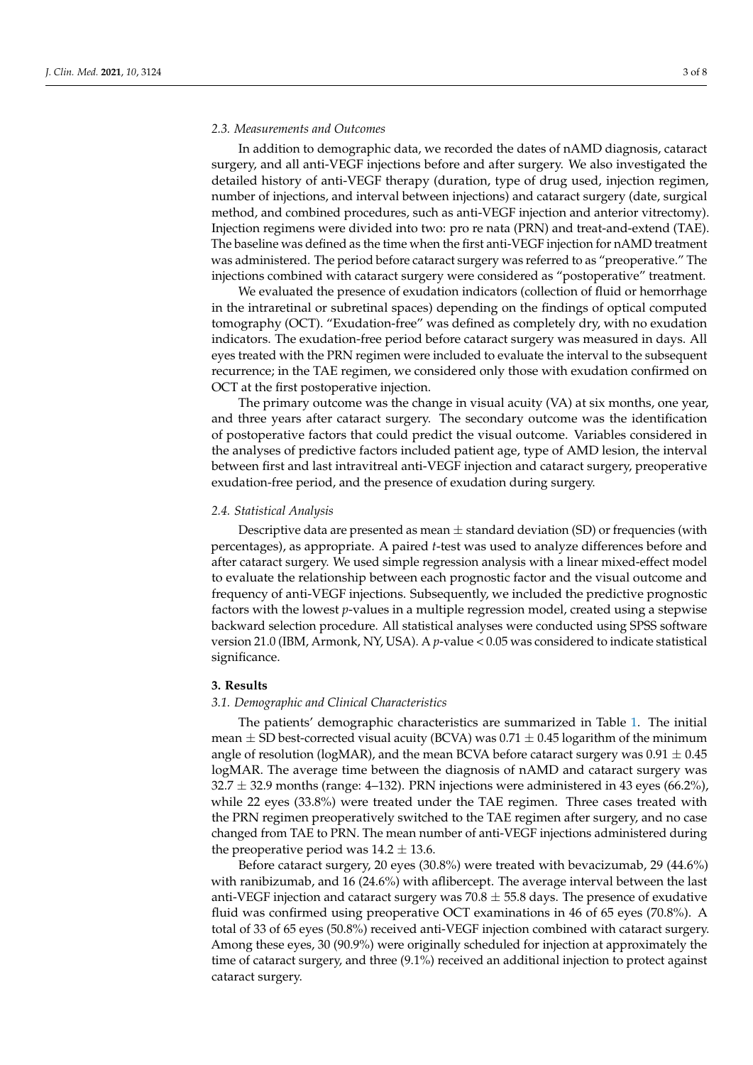#### *2.3. Measurements and Outcomes*

In addition to demographic data, we recorded the dates of nAMD diagnosis, cataract surgery, and all anti-VEGF injections before and after surgery. We also investigated the detailed history of anti-VEGF therapy (duration, type of drug used, injection regimen, number of injections, and interval between injections) and cataract surgery (date, surgical method, and combined procedures, such as anti-VEGF injection and anterior vitrectomy). Injection regimens were divided into two: pro re nata (PRN) and treat-and-extend (TAE). The baseline was defined as the time when the first anti-VEGF injection for nAMD treatment was administered. The period before cataract surgery was referred to as "preoperative." The injections combined with cataract surgery were considered as "postoperative" treatment.

We evaluated the presence of exudation indicators (collection of fluid or hemorrhage in the intraretinal or subretinal spaces) depending on the findings of optical computed tomography (OCT). "Exudation-free" was defined as completely dry, with no exudation indicators. The exudation-free period before cataract surgery was measured in days. All eyes treated with the PRN regimen were included to evaluate the interval to the subsequent recurrence; in the TAE regimen, we considered only those with exudation confirmed on OCT at the first postoperative injection.

The primary outcome was the change in visual acuity (VA) at six months, one year, and three years after cataract surgery. The secondary outcome was the identification of postoperative factors that could predict the visual outcome. Variables considered in the analyses of predictive factors included patient age, type of AMD lesion, the interval between first and last intravitreal anti-VEGF injection and cataract surgery, preoperative exudation-free period, and the presence of exudation during surgery.

#### *2.4. Statistical Analysis*

Descriptive data are presented as mean  $\pm$  standard deviation (SD) or frequencies (with percentages), as appropriate. A paired *t*-test was used to analyze differences before and after cataract surgery. We used simple regression analysis with a linear mixed-effect model to evaluate the relationship between each prognostic factor and the visual outcome and frequency of anti-VEGF injections. Subsequently, we included the predictive prognostic factors with the lowest *p*-values in a multiple regression model, created using a stepwise backward selection procedure. All statistical analyses were conducted using SPSS software version 21.0 (IBM, Armonk, NY, USA). A *p*-value < 0.05 was considered to indicate statistical significance.

# **3. Results**

# *3.1. Demographic and Clinical Characteristics*

The patients' demographic characteristics are summarized in Table [1.](#page-3-0) The initial mean  $\pm$  SD best-corrected visual acuity (BCVA) was 0.71  $\pm$  0.45 logarithm of the minimum angle of resolution (logMAR), and the mean BCVA before cataract surgery was  $0.91 \pm 0.45$ logMAR. The average time between the diagnosis of nAMD and cataract surgery was  $32.7 \pm 32.9$  months (range: 4–132). PRN injections were administered in 43 eyes (66.2%), while 22 eyes (33.8%) were treated under the TAE regimen. Three cases treated with the PRN regimen preoperatively switched to the TAE regimen after surgery, and no case changed from TAE to PRN. The mean number of anti-VEGF injections administered during the preoperative period was  $14.2 \pm 13.6$ .

Before cataract surgery, 20 eyes (30.8%) were treated with bevacizumab, 29 (44.6%) with ranibizumab, and 16 (24.6%) with aflibercept. The average interval between the last anti-VEGF injection and cataract surgery was  $70.8 \pm 55.8$  days. The presence of exudative fluid was confirmed using preoperative OCT examinations in 46 of 65 eyes (70.8%). A total of 33 of 65 eyes (50.8%) received anti-VEGF injection combined with cataract surgery. Among these eyes, 30 (90.9%) were originally scheduled for injection at approximately the time of cataract surgery, and three (9.1%) received an additional injection to protect against cataract surgery.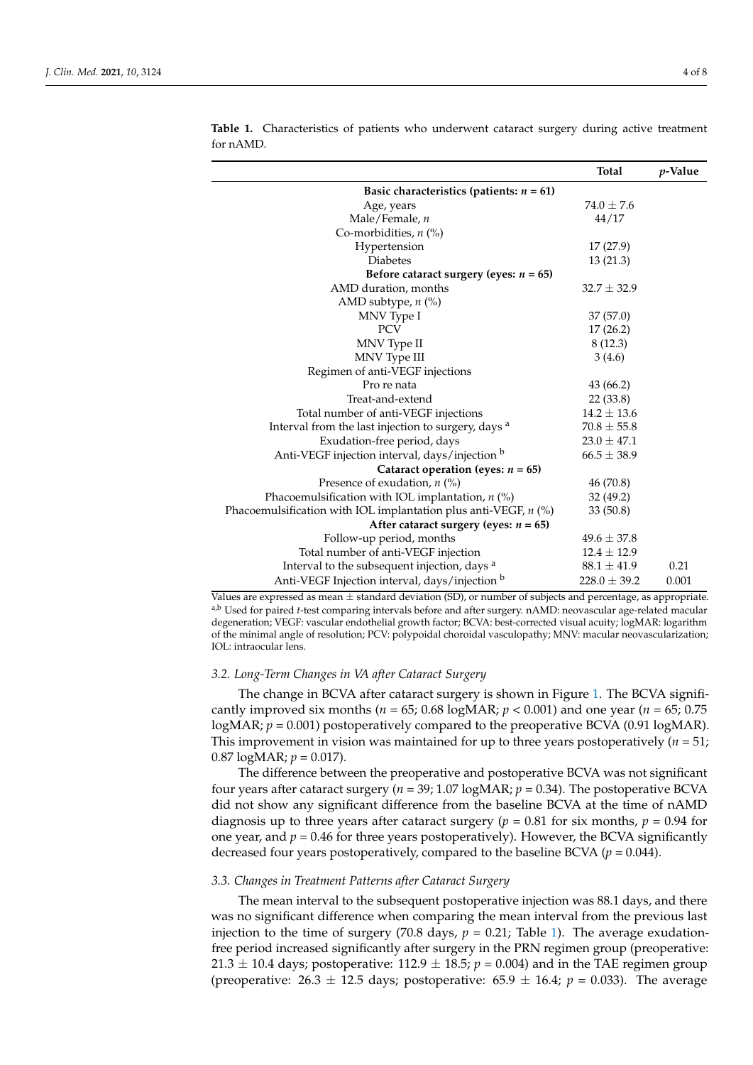|                                                                   | <b>Total</b>     | <i>p</i> -Value |  |  |  |
|-------------------------------------------------------------------|------------------|-----------------|--|--|--|
| Basic characteristics (patients: $n = 61$ )                       |                  |                 |  |  |  |
| Age, years                                                        | $74.0 \pm 7.6$   |                 |  |  |  |
| Male/Female, $n$                                                  | 44/17            |                 |  |  |  |
| Co-morbidities, $n$ (%)                                           |                  |                 |  |  |  |
| Hypertension                                                      | 17(27.9)         |                 |  |  |  |
| <b>Diabetes</b>                                                   | 13(21.3)         |                 |  |  |  |
| Before cataract surgery (eyes: $n = 65$ )                         |                  |                 |  |  |  |
| AMD duration, months                                              | $32.7 \pm 32.9$  |                 |  |  |  |
| AMD subtype, $n$ (%)                                              |                  |                 |  |  |  |
| MNV Type I                                                        | 37 (57.0)        |                 |  |  |  |
| <b>PCV</b>                                                        | 17(26.2)         |                 |  |  |  |
| MNV Type II                                                       | 8(12.3)          |                 |  |  |  |
| MNV Type III                                                      | 3(4.6)           |                 |  |  |  |
| Regimen of anti-VEGF injections                                   |                  |                 |  |  |  |
| Pro re nata                                                       | 43 (66.2)        |                 |  |  |  |
| Treat-and-extend                                                  | 22(33.8)         |                 |  |  |  |
| Total number of anti-VEGF injections                              | $14.2 \pm 13.6$  |                 |  |  |  |
| Interval from the last injection to surgery, days a               | $70.8 \pm 55.8$  |                 |  |  |  |
| Exudation-free period, days                                       | $23.0 \pm 47.1$  |                 |  |  |  |
| Anti-VEGF injection interval, days/injection b                    | $66.5 \pm 38.9$  |                 |  |  |  |
| Cataract operation (eyes: $n = 65$ )                              |                  |                 |  |  |  |
| Presence of exudation, $n$ (%)                                    | 46 (70.8)        |                 |  |  |  |
| Phacoemulsification with IOL implantation, $n$ (%)                | 32 (49.2)        |                 |  |  |  |
| Phacoemulsification with IOL implantation plus anti-VEGF, $n$ (%) | 33(50.8)         |                 |  |  |  |
| After cataract surgery (eyes: $n = 65$ )                          |                  |                 |  |  |  |
| Follow-up period, months                                          | $49.6 \pm 37.8$  |                 |  |  |  |
| Total number of anti-VEGF injection                               | $12.4 \pm 12.9$  |                 |  |  |  |
| Interval to the subsequent injection, days a                      | $88.1 \pm 41.9$  | 0.21            |  |  |  |
| Anti-VEGF Injection interval, days/injection b                    | $228.0 \pm 39.2$ | 0.001           |  |  |  |

<span id="page-3-0"></span>**Table 1.** Characteristics of patients who underwent cataract surgery during active treatment for nAMD.

Values are expressed as mean  $\pm$  standard deviation (SD), or number of subjects and percentage, as appropriate. a,b Used for paired *t*-test comparing intervals before and after surgery. nAMD: neovascular age-related macular degeneration; VEGF: vascular endothelial growth factor; BCVA: best-corrected visual acuity; logMAR: logarithm of the minimal angle of resolution; PCV: polypoidal choroidal vasculopathy; MNV: macular neovascularization; IOL: intraocular lens.

#### *3.2. Long-Term Changes in VA after Cataract Surgery*

The change in BCVA after cataract surgery is shown in Figure [1.](#page-4-0) The BCVA significantly improved six months ( $n = 65$ ; 0.68 logMAR;  $p < 0.001$ ) and one year ( $n = 65$ ; 0.75 logMAR;  $p = 0.001$ ) postoperatively compared to the preoperative BCVA (0.91 logMAR). This improvement in vision was maintained for up to three years postoperatively ( $n = 51$ ; 0.87  $log<sub>MR</sub>; p = 0.017$ .

The difference between the preoperative and postoperative BCVA was not significant four years after cataract surgery (*n* = 39; 1.07 logMAR; *p* = 0.34). The postoperative BCVA did not show any significant difference from the baseline BCVA at the time of nAMD diagnosis up to three years after cataract surgery ( $p = 0.81$  for six months,  $p = 0.94$  for one year, and  $p = 0.46$  for three years postoperatively). However, the BCVA significantly decreased four years postoperatively, compared to the baseline BCVA ( $p = 0.044$ ).

#### *3.3. Changes in Treatment Patterns after Cataract Surgery*

The mean interval to the subsequent postoperative injection was 88.1 days, and there was no significant difference when comparing the mean interval from the previous last injection to the time of surgery (70.8 days,  $p = 0.21$ ; Table [1\)](#page-3-0). The average exudationfree period increased significantly after surgery in the PRN regimen group (preoperative: 21.3  $\pm$  10.4 days; postoperative: 112.9  $\pm$  18.5;  $p = 0.004$ ) and in the TAE regimen group (preoperative:  $26.3 \pm 12.5$  days; postoperative:  $65.9 \pm 16.4$ ;  $p = 0.033$ ). The average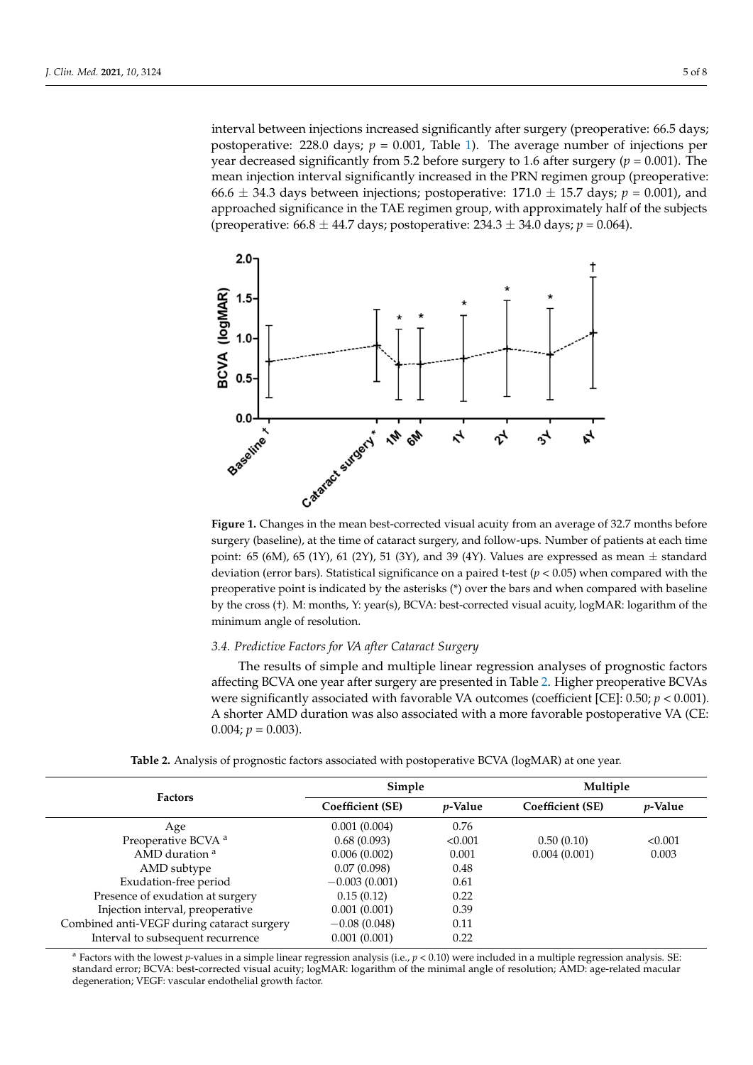interval between injections increased significantly after surgery (preoperative: 66.5 days; postoperative: 228.0 days;  $p = 0.001$ , Table [1\)](#page-3-0). The average number of injections per year decreased significantly from 5.2 before surgery to 1.6 after surgery ( $p = 0.001$ ). The mean injection interval significantly increased in the PRN regimen group (preoperative:  $66.6 \pm 34.3$  days between injections; postoperative:  $171.0 \pm 15.7$  days;  $p = 0.001$ ), and approached significance in the TAE regimen group, with approximately half of the subjects (preoperative: 66.8 ± 44.7 days; postoperative: 234.3 ± 34.0 days; *p* = 0.064).

<span id="page-4-0"></span>

surgery (baseline), at the time of cataract surgery, and follow-ups. Number of patients at each time  $\frac{1}{\sqrt{5}}$  (cm), at the time of catalact surgery, and followed  $\frac{1}{\sqrt{5}}$  (cm),  $\frac{1}{\sqrt{5}}$  (cm),  $\frac{1}{\sqrt{5}}$  (cm),  $\frac{1}{\sqrt{5}}$  (cm),  $\frac{1}{\sqrt{5}}$  (cm),  $\frac{1}{\sqrt{5}}$  (cm),  $\frac{1}{\sqrt{5}}$  (cm),  $\frac{1}{\sqrt{5}}$  (cm),  $\frac{$ point: 65 (6M), 65 (1Y), 61 (2Y), 51 (3Y), and 39 (4Y). Values are expressed as mean  $\pm$  standard deviation (error bars). Statistical significance on a paired t-test  $(p < 0.05)$  when compared with the preoperative point is indicated by the asterisks (\*) over the bars and when compared with baseline by the cross (†). M: months, Y: year(s), BCVA: best-corrected visual acuity, logMAR: logarithm of the minimum angle of resolution. minimum angle of resolution. **Figure 1.** Changes in the mean best-corrected visual acuity from an average of 32.7 months before

# 3.4. Predictive Factors for VA after Cataract Surgery

cant four years after cataract surgery (*n* = 39; 1.07 logMAR; *p* = 0.34). The postoperative The results of simple and multiple linear regression analyses of prognostic factors affecting BCVA one year after surgery are presented in Table 2. Higher preoperative BCVAs were significantly associated with favorable VA outcomes (coefficient [CE]:  $0.50; p < 0.001$ ). A shorter AMD duration was also associated with a more favorable postoperative VA (CE:  $0.004; p = 0.003$ ).

**Table 2.** Analysis of prognostic factors associated with postoperative BCVA (logMAR) at one year.

<span id="page-4-1"></span>

| Simple           |                 | Multiple         |                 |
|------------------|-----------------|------------------|-----------------|
| Coefficient (SE) | <i>p</i> -Value | Coefficient (SE) | <i>p</i> -Value |
| 0.001(0.004)     | 0.76            |                  |                 |
| 0.68(0.093)      | < 0.001         | 0.50(0.10)       | < 0.001         |
| 0.006(0.002)     | 0.001           | 0.004(0.001)     | 0.003           |
| 0.07(0.098)      | 0.48            |                  |                 |
| $-0.003(0.001)$  | 0.61            |                  |                 |
| 0.15(0.12)       | 0.22            |                  |                 |
| 0.001(0.001)     | 0.39            |                  |                 |
| $-0.08(0.048)$   | 0.11            |                  |                 |
| 0.001(0.001)     | 0.22            |                  |                 |
|                  |                 |                  |                 |

*3.4. Predictive Factors for VA after Cataract Surgery*  standard error; BCVA: best-corrected visual acuity; logMAR: logarithm of the minimal angle of resolution; AMD: age-related macular degeneration; VEGF: vascular endothelial growth factor. <sup>a</sup> Factors with the lowest *p*-values in a simple linear regression analysis (i.e.,  $p < 0.10$ ) were included in a multiple regression analysis. SE: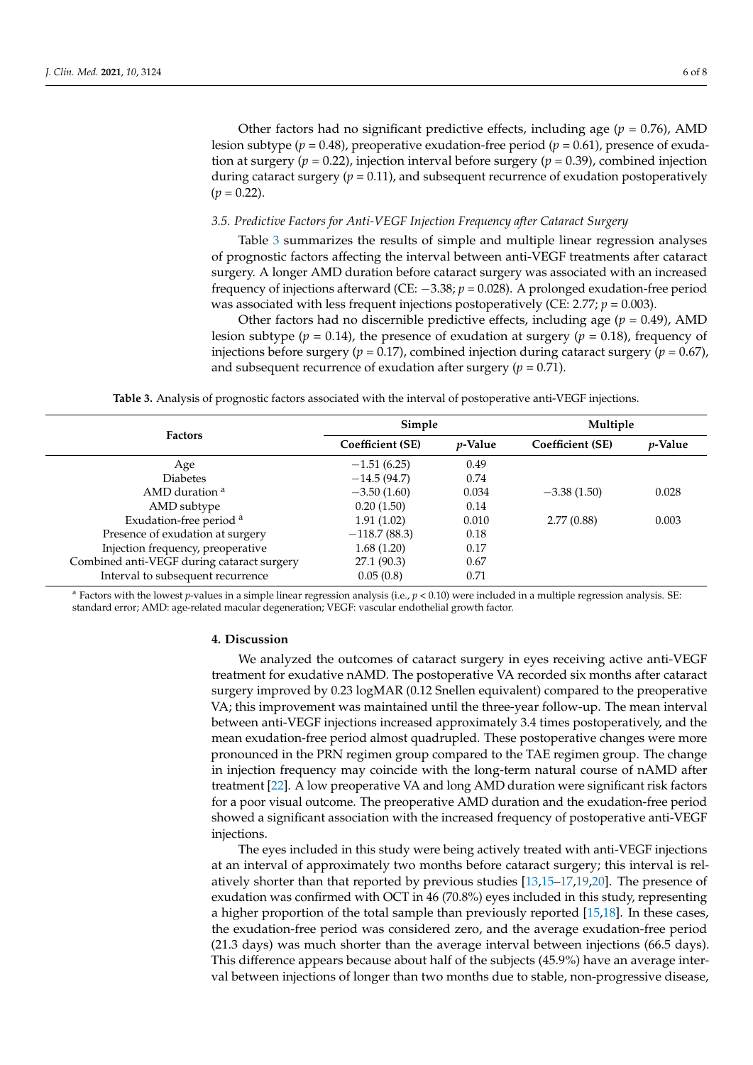#### *3.5. Predictive Factors for Anti-VEGF Injection Frequency after Cataract Surgery*

Table [3](#page-5-0) summarizes the results of simple and multiple linear regression analyses of prognostic factors affecting the interval between anti-VEGF treatments after cataract surgery. A longer AMD duration before cataract surgery was associated with an increased frequency of injections afterward (CE: −3.38; *p* = 0.028). A prolonged exudation-free period was associated with less frequent injections postoperatively (CE: 2.77; *p* = 0.003).

Other factors had no discernible predictive effects, including age  $(p = 0.49)$ , AMD lesion subtype ( $p = 0.14$ ), the presence of exudation at surgery ( $p = 0.18$ ), frequency of injections before surgery ( $p = 0.17$ ), combined injection during cataract surgery ( $p = 0.67$ ), and subsequent recurrence of exudation after surgery  $(p = 0.71)$ .

**Table 3.** Analysis of prognostic factors associated with the interval of postoperative anti-VEGF injections.

<span id="page-5-0"></span>

| <b>Factors</b>                             | Simple           |                 | Multiple         |                 |
|--------------------------------------------|------------------|-----------------|------------------|-----------------|
|                                            | Coefficient (SE) | <i>p</i> -Value | Coefficient (SE) | <i>p</i> -Value |
| Age                                        | $-1.51(6.25)$    | 0.49            |                  |                 |
| <b>Diabetes</b>                            | $-14.5(94.7)$    | 0.74            |                  |                 |
| AMD duration <sup>a</sup>                  | $-3.50(1.60)$    | 0.034           | $-3.38(1.50)$    | 0.028           |
| AMD subtype                                | 0.20(1.50)       | 0.14            |                  |                 |
| Exudation-free period <sup>a</sup>         | 1.91(1.02)       | 0.010           | 2.77(0.88)       | 0.003           |
| Presence of exudation at surgery           | $-118.7(88.3)$   | 0.18            |                  |                 |
| Injection frequency, preoperative          | 1.68(1.20)       | 0.17            |                  |                 |
| Combined anti-VEGF during cataract surgery | 27.1(90.3)       | 0.67            |                  |                 |
| Interval to subsequent recurrence          | 0.05(0.8)        | 0.71            |                  |                 |

<sup>a</sup> Factors with the lowest *p*-values in a simple linear regression analysis (i.e.,  $p < 0.10$ ) were included in a multiple regression analysis. SE: standard error; AMD: age-related macular degeneration; VEGF: vascular endothelial growth factor.

# **4. Discussion**

We analyzed the outcomes of cataract surgery in eyes receiving active anti-VEGF treatment for exudative nAMD. The postoperative VA recorded six months after cataract surgery improved by 0.23 logMAR (0.12 Snellen equivalent) compared to the preoperative VA; this improvement was maintained until the three-year follow-up. The mean interval between anti-VEGF injections increased approximately 3.4 times postoperatively, and the mean exudation-free period almost quadrupled. These postoperative changes were more pronounced in the PRN regimen group compared to the TAE regimen group. The change in injection frequency may coincide with the long-term natural course of nAMD after treatment [\[22\]](#page-7-18). A low preoperative VA and long AMD duration were significant risk factors for a poor visual outcome. The preoperative AMD duration and the exudation-free period showed a significant association with the increased frequency of postoperative anti-VEGF injections.

The eyes included in this study were being actively treated with anti-VEGF injections at an interval of approximately two months before cataract surgery; this interval is relatively shorter than that reported by previous studies [\[13,](#page-7-10)[15](#page-7-14)[–17,](#page-7-15)[19,](#page-7-12)[20\]](#page-7-13). The presence of exudation was confirmed with OCT in 46 (70.8%) eyes included in this study, representing a higher proportion of the total sample than previously reported [\[15](#page-7-14)[,18\]](#page-7-11). In these cases, the exudation-free period was considered zero, and the average exudation-free period (21.3 days) was much shorter than the average interval between injections (66.5 days). This difference appears because about half of the subjects (45.9%) have an average interval between injections of longer than two months due to stable, non-progressive disease,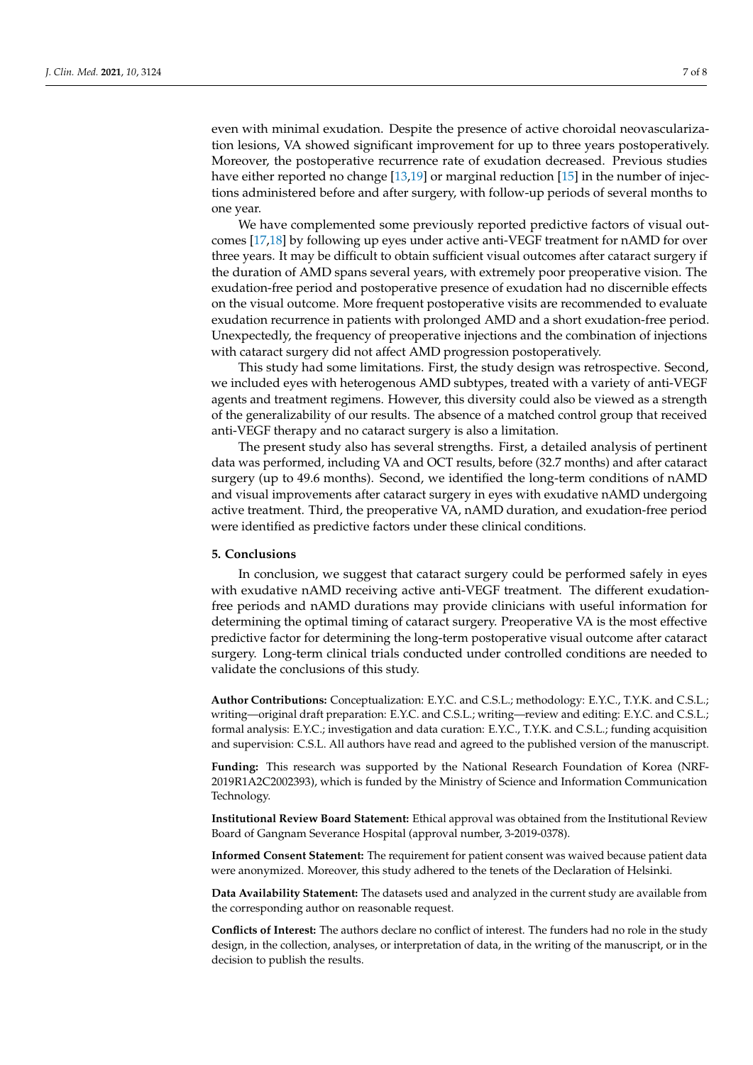even with minimal exudation. Despite the presence of active choroidal neovascularization lesions, VA showed significant improvement for up to three years postoperatively. Moreover, the postoperative recurrence rate of exudation decreased. Previous studies have either reported no change [\[13,](#page-7-10)[19\]](#page-7-12) or marginal reduction [\[15\]](#page-7-14) in the number of injections administered before and after surgery, with follow-up periods of several months to one year.

We have complemented some previously reported predictive factors of visual outcomes [\[17](#page-7-15)[,18\]](#page-7-11) by following up eyes under active anti-VEGF treatment for nAMD for over three years. It may be difficult to obtain sufficient visual outcomes after cataract surgery if the duration of AMD spans several years, with extremely poor preoperative vision. The exudation-free period and postoperative presence of exudation had no discernible effects on the visual outcome. More frequent postoperative visits are recommended to evaluate exudation recurrence in patients with prolonged AMD and a short exudation-free period. Unexpectedly, the frequency of preoperative injections and the combination of injections with cataract surgery did not affect AMD progression postoperatively.

This study had some limitations. First, the study design was retrospective. Second, we included eyes with heterogenous AMD subtypes, treated with a variety of anti-VEGF agents and treatment regimens. However, this diversity could also be viewed as a strength of the generalizability of our results. The absence of a matched control group that received anti-VEGF therapy and no cataract surgery is also a limitation.

The present study also has several strengths. First, a detailed analysis of pertinent data was performed, including VA and OCT results, before (32.7 months) and after cataract surgery (up to 49.6 months). Second, we identified the long-term conditions of nAMD and visual improvements after cataract surgery in eyes with exudative nAMD undergoing active treatment. Third, the preoperative VA, nAMD duration, and exudation-free period were identified as predictive factors under these clinical conditions.

#### **5. Conclusions**

In conclusion, we suggest that cataract surgery could be performed safely in eyes with exudative nAMD receiving active anti-VEGF treatment. The different exudationfree periods and nAMD durations may provide clinicians with useful information for determining the optimal timing of cataract surgery. Preoperative VA is the most effective predictive factor for determining the long-term postoperative visual outcome after cataract surgery. Long-term clinical trials conducted under controlled conditions are needed to validate the conclusions of this study.

**Author Contributions:** Conceptualization: E.Y.C. and C.S.L.; methodology: E.Y.C., T.Y.K. and C.S.L.; writing—original draft preparation: E.Y.C. and C.S.L.; writing—review and editing: E.Y.C. and C.S.L.; formal analysis: E.Y.C.; investigation and data curation: E.Y.C., T.Y.K. and C.S.L.; funding acquisition and supervision: C.S.L. All authors have read and agreed to the published version of the manuscript.

**Funding:** This research was supported by the National Research Foundation of Korea (NRF-2019R1A2C2002393), which is funded by the Ministry of Science and Information Communication Technology.

**Institutional Review Board Statement:** Ethical approval was obtained from the Institutional Review Board of Gangnam Severance Hospital (approval number, 3-2019-0378).

**Informed Consent Statement:** The requirement for patient consent was waived because patient data were anonymized. Moreover, this study adhered to the tenets of the Declaration of Helsinki.

**Data Availability Statement:** The datasets used and analyzed in the current study are available from the corresponding author on reasonable request.

**Conflicts of Interest:** The authors declare no conflict of interest. The funders had no role in the study design, in the collection, analyses, or interpretation of data, in the writing of the manuscript, or in the decision to publish the results.